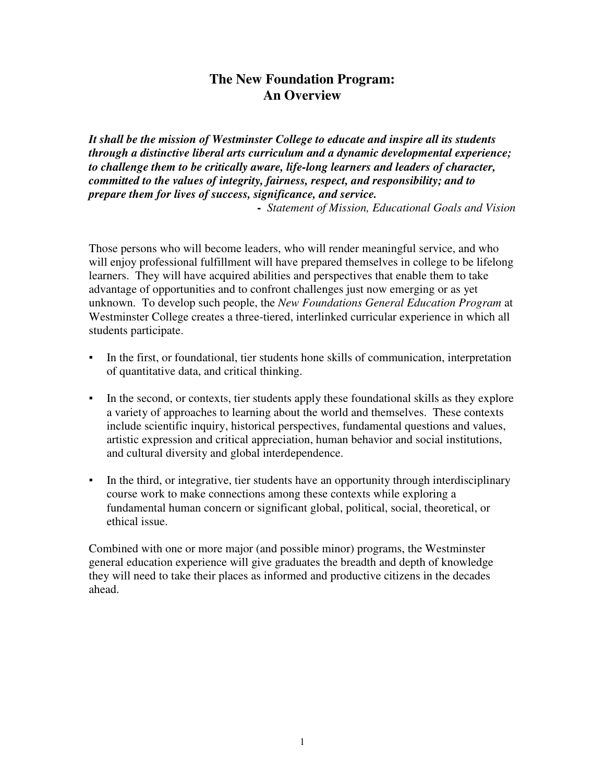# **The New Foundation Program: An Overview**

*It shall be the mission of Westminster College to educate and inspire all its students through a distinctive liberal arts curriculum and a dynamic developmental experience; to challenge them to be critically aware, life-long learners and leaders of character, committed to the values of integrity, fairness, respect, and responsibility; and to prepare them for lives of success, significance, and service.*

**-** *Statement of Mission, Educational Goals and Vision* 

Those persons who will become leaders, who will render meaningful service, and who will enjoy professional fulfillment will have prepared themselves in college to be lifelong learners. They will have acquired abilities and perspectives that enable them to take advantage of opportunities and to confront challenges just now emerging or as yet unknown. To develop such people, the *New Foundations General Education Program* at Westminster College creates a three-tiered, interlinked curricular experience in which all students participate.

- In the first, or foundational, tier students hone skills of communication, interpretation of quantitative data, and critical thinking.
- In the second, or contexts, tier students apply these foundational skills as they explore a variety of approaches to learning about the world and themselves. These contexts include scientific inquiry, historical perspectives, fundamental questions and values, artistic expression and critical appreciation, human behavior and social institutions, and cultural diversity and global interdependence.
- In the third, or integrative, tier students have an opportunity through interdisciplinary course work to make connections among these contexts while exploring a fundamental human concern or significant global, political, social, theoretical, or ethical issue.

Combined with one or more major (and possible minor) programs, the Westminster general education experience will give graduates the breadth and depth of knowledge they will need to take their places as informed and productive citizens in the decades ahead.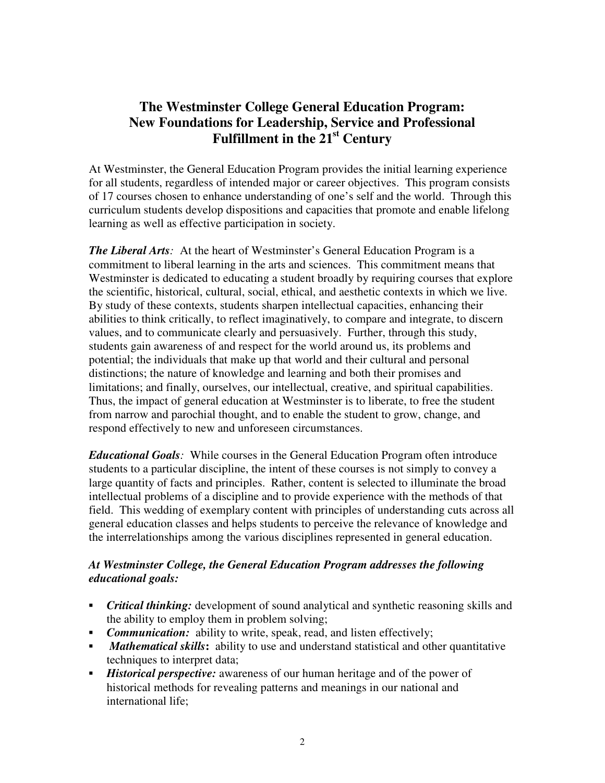# **The Westminster College General Education Program: New Foundations for Leadership, Service and Professional Fulfillment in the 21st Century**

At Westminster, the General Education Program provides the initial learning experience for all students, regardless of intended major or career objectives. This program consists of 17 courses chosen to enhance understanding of one's self and the world. Through this curriculum students develop dispositions and capacities that promote and enable lifelong learning as well as effective participation in society.

*The Liberal Arts:* At the heart of Westminster's General Education Program is a commitment to liberal learning in the arts and sciences. This commitment means that Westminster is dedicated to educating a student broadly by requiring courses that explore the scientific, historical, cultural, social, ethical, and aesthetic contexts in which we live. By study of these contexts, students sharpen intellectual capacities, enhancing their abilities to think critically, to reflect imaginatively, to compare and integrate, to discern values, and to communicate clearly and persuasively. Further, through this study, students gain awareness of and respect for the world around us, its problems and potential; the individuals that make up that world and their cultural and personal distinctions; the nature of knowledge and learning and both their promises and limitations; and finally, ourselves, our intellectual, creative, and spiritual capabilities. Thus, the impact of general education at Westminster is to liberate, to free the student from narrow and parochial thought, and to enable the student to grow, change, and respond effectively to new and unforeseen circumstances.

*Educational Goals:* While courses in the General Education Program often introduce students to a particular discipline, the intent of these courses is not simply to convey a large quantity of facts and principles. Rather, content is selected to illuminate the broad intellectual problems of a discipline and to provide experience with the methods of that field. This wedding of exemplary content with principles of understanding cuts across all general education classes and helps students to perceive the relevance of knowledge and the interrelationships among the various disciplines represented in general education.

## *At Westminster College, the General Education Program addresses the following educational goals:*

- **•** *Critical thinking:* development of sound analytical and synthetic reasoning skills and the ability to employ them in problem solving;
- **•** *Communication:* ability to write, speak, read, and listen effectively;
- **•** *Mathematical skills*: ability to use and understand statistical and other quantitative techniques to interpret data;
- *Historical perspective:* awareness of our human heritage and of the power of historical methods for revealing patterns and meanings in our national and international life;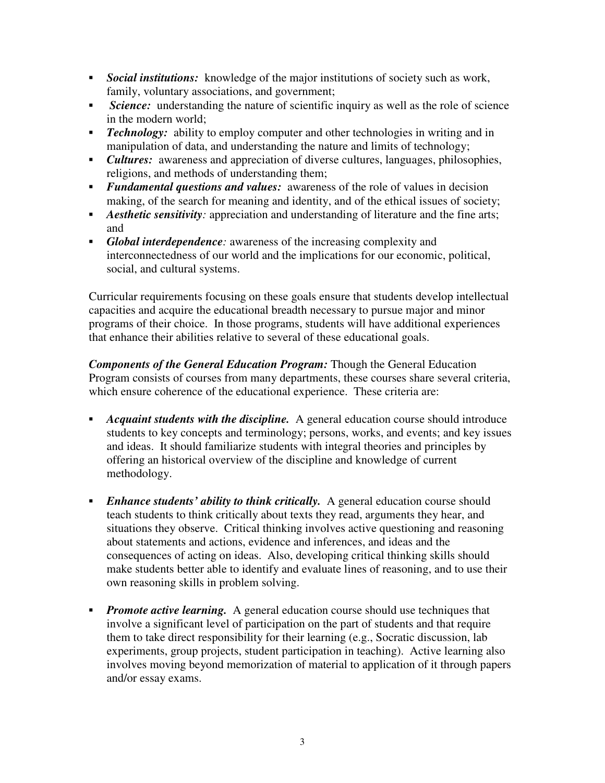- **•** Social institutions: knowledge of the major institutions of society such as work, family, voluntary associations, and government;
- *Science:* understanding the nature of scientific inquiry as well as the role of science in the modern world;
- **•** *Technology:* ability to employ computer and other technologies in writing and in manipulation of data, and understanding the nature and limits of technology;
- *Cultures:* awareness and appreciation of diverse cultures, languages, philosophies, religions, and methods of understanding them;
- **•** *Fundamental questions and values:* awareness of the role of values in decision making, of the search for meaning and identity, and of the ethical issues of society;
- **•** *Aesthetic sensitivity:* appreciation and understanding of literature and the fine arts; and
- Global interdependence: awareness of the increasing complexity and interconnectedness of our world and the implications for our economic, political, social, and cultural systems.

Curricular requirements focusing on these goals ensure that students develop intellectual capacities and acquire the educational breadth necessary to pursue major and minor programs of their choice. In those programs, students will have additional experiences that enhance their abilities relative to several of these educational goals.

*Components of the General Education Program:* Though the General Education Program consists of courses from many departments, these courses share several criteria, which ensure coherence of the educational experience. These criteria are:

- Acquaint students with the discipline. A general education course should introduce students to key concepts and terminology; persons, works, and events; and key issues and ideas. It should familiarize students with integral theories and principles by offering an historical overview of the discipline and knowledge of current methodology.
- **•** *Enhance students' ability to think critically.* A general education course should teach students to think critically about texts they read, arguments they hear, and situations they observe. Critical thinking involves active questioning and reasoning about statements and actions, evidence and inferences, and ideas and the consequences of acting on ideas. Also, developing critical thinking skills should make students better able to identify and evaluate lines of reasoning, and to use their own reasoning skills in problem solving.
- **•** *Promote active learning.* A general education course should use techniques that involve a significant level of participation on the part of students and that require them to take direct responsibility for their learning (e.g., Socratic discussion, lab experiments, group projects, student participation in teaching). Active learning also involves moving beyond memorization of material to application of it through papers and/or essay exams.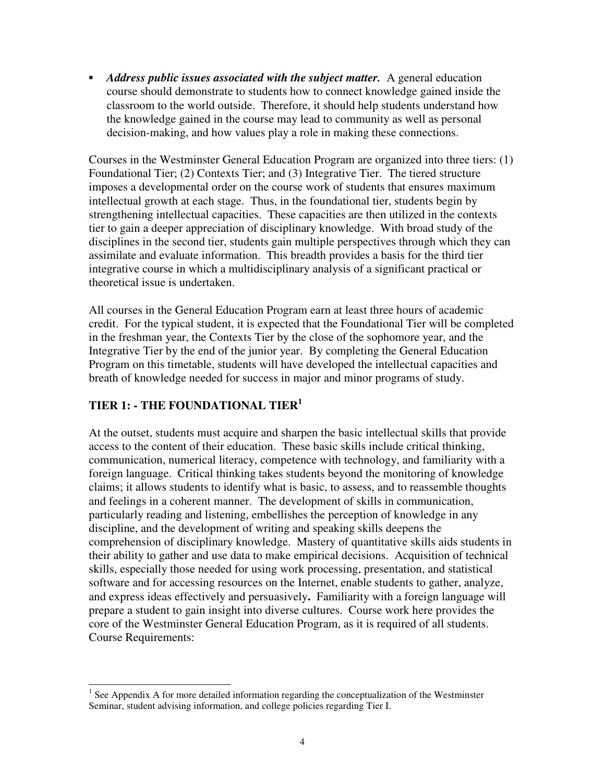▪ *Address public issues associated with the subject matter.* A general education course should demonstrate to students how to connect knowledge gained inside the classroom to the world outside. Therefore, it should help students understand how the knowledge gained in the course may lead to community as well as personal decision-making, and how values play a role in making these connections.

Courses in the Westminster General Education Program are organized into three tiers: (1) Foundational Tier; (2) Contexts Tier; and (3) Integrative Tier. The tiered structure imposes a developmental order on the course work of students that ensures maximum intellectual growth at each stage. Thus, in the foundational tier, students begin by strengthening intellectual capacities. These capacities are then utilized in the contexts tier to gain a deeper appreciation of disciplinary knowledge. With broad study of the disciplines in the second tier, students gain multiple perspectives through which they can assimilate and evaluate information. This breadth provides a basis for the third tier integrative course in which a multidisciplinary analysis of a significant practical or theoretical issue is undertaken.

All courses in the General Education Program earn at least three hours of academic credit. For the typical student, it is expected that the Foundational Tier will be completed in the freshman year, the Contexts Tier by the close of the sophomore year, and the Integrative Tier by the end of the junior year. By completing the General Education Program on this timetable, students will have developed the intellectual capacities and breath of knowledge needed for success in major and minor programs of study.

# **TIER 1: - THE FOUNDATIONAL TIER<sup>1</sup>**

At the outset, students must acquire and sharpen the basic intellectual skills that provide access to the content of their education. These basic skills include critical thinking, communication, numerical literacy, competence with technology, and familiarity with a foreign language.Critical thinking takes students beyond the monitoring of knowledge claims; it allows students to identify what is basic, to assess, and to reassemble thoughts and feelings in a coherent manner. The development of skills in communication, particularly reading and listening, embellishes the perception of knowledge in any discipline, and the development of writing and speaking skills deepens the comprehension of disciplinary knowledge. Mastery of quantitative skills aids students in their ability to gather and use data to make empirical decisions. Acquisition of technical skills, especially those needed for using work processing, presentation, and statistical software and for accessing resources on the Internet, enable students to gather, analyze, and express ideas effectively and persuasively**.** Familiarity with a foreign language will prepare a student to gain insight into diverse cultures. Course work here provides the core of the Westminster General Education Program, as it is required of all students. Course Requirements:

j  $<sup>1</sup>$  See Appendix A for more detailed information regarding the conceptualization of the Westminster</sup> Seminar, student advising information, and college policies regarding Tier I.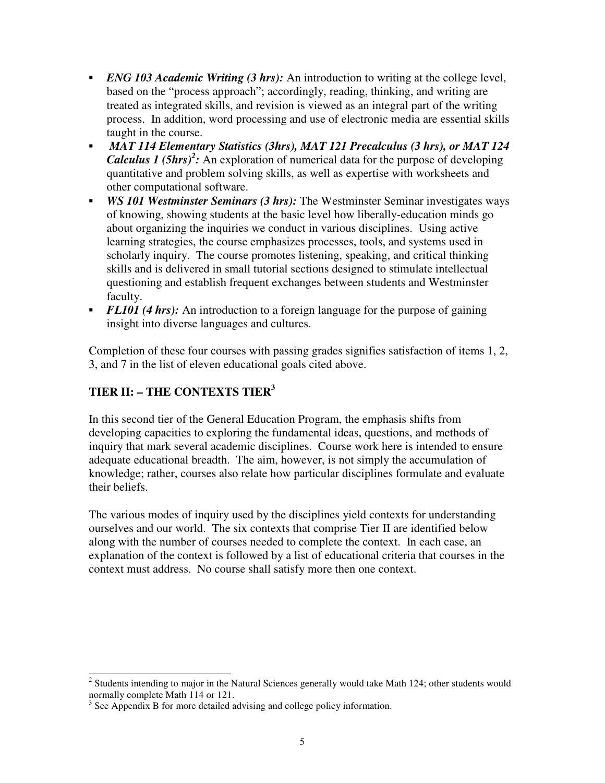- **•** *ENG 103 Academic Writing (3 hrs)*: An introduction to writing at the college level, based on the "process approach"; accordingly, reading, thinking, and writing are treated as integrated skills, and revision is viewed as an integral part of the writing process. In addition, word processing and use of electronic media are essential skills taught in the course.
- ▪ *MAT 114 Elementary Statistics (3hrs), MAT 121 Precalculus (3 hrs), or MAT 124 Calculus 1 (5hrs)<sup>2</sup>*: An exploration of numerical data for the purpose of developing quantitative and problem solving skills, as well as expertise with worksheets and other computational software.
- **•** *WS 101 Westminster Seminars (3 hrs):* The Westminster Seminar investigates ways of knowing, showing students at the basic level how liberally-education minds go about organizing the inquiries we conduct in various disciplines. Using active learning strategies, the course emphasizes processes, tools, and systems used in scholarly inquiry. The course promotes listening, speaking, and critical thinking skills and is delivered in small tutorial sections designed to stimulate intellectual questioning and establish frequent exchanges between students and Westminster faculty.
- *FL101 (4 hrs)*: An introduction to a foreign language for the purpose of gaining insight into diverse languages and cultures.

Completion of these four courses with passing grades signifies satisfaction of items 1, 2, 3, and 7 in the list of eleven educational goals cited above.

# **TIER II: – THE CONTEXTS TIER<sup>3</sup>**

In this second tier of the General Education Program, the emphasis shifts from developing capacities to exploring the fundamental ideas, questions, and methods of inquiry that mark several academic disciplines. Course work here is intended to ensure adequate educational breadth. The aim, however, is not simply the accumulation of knowledge; rather, courses also relate how particular disciplines formulate and evaluate their beliefs.

The various modes of inquiry used by the disciplines yield contexts for understanding ourselves and our world. The six contexts that comprise Tier II are identified below along with the number of courses needed to complete the context. In each case, an explanation of the context is followed by a list of educational criteria that courses in the context must address. No course shall satisfy more then one context.

<sup>&</sup>lt;sup>2</sup> Students intending to major in the Natural Sciences generally would take Math 124; other students would normally complete Math 114 or 121.

 $3$  See Appendix B for more detailed advising and college policy information.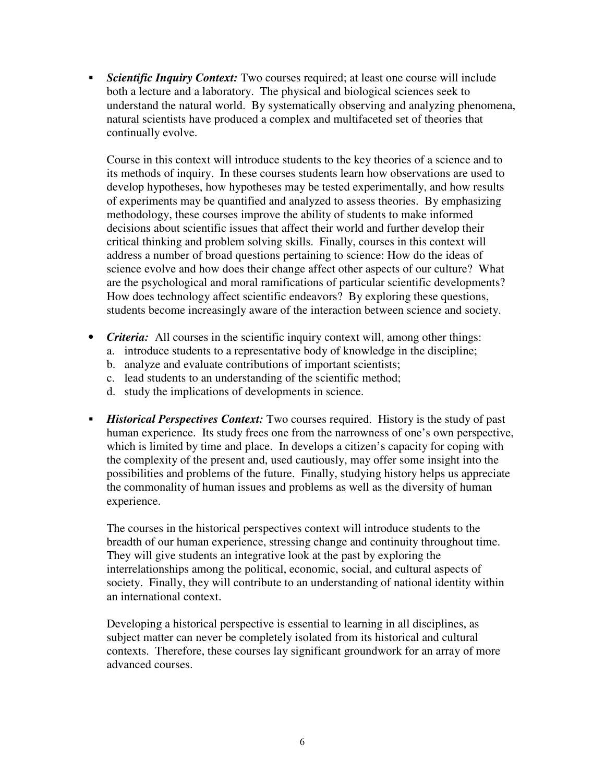**•** *Scientific Inquiry Context:* Two courses required; at least one course will include both a lecture and a laboratory. The physical and biological sciences seek to understand the natural world. By systematically observing and analyzing phenomena, natural scientists have produced a complex and multifaceted set of theories that continually evolve.

Course in this context will introduce students to the key theories of a science and to its methods of inquiry. In these courses students learn how observations are used to develop hypotheses, how hypotheses may be tested experimentally, and how results of experiments may be quantified and analyzed to assess theories. By emphasizing methodology, these courses improve the ability of students to make informed decisions about scientific issues that affect their world and further develop their critical thinking and problem solving skills. Finally, courses in this context will address a number of broad questions pertaining to science: How do the ideas of science evolve and how does their change affect other aspects of our culture? What are the psychological and moral ramifications of particular scientific developments? How does technology affect scientific endeavors? By exploring these questions, students become increasingly aware of the interaction between science and society.

- *Criteria:* All courses in the scientific inquiry context will, among other things:
	- a. introduce students to a representative body of knowledge in the discipline;
	- b. analyze and evaluate contributions of important scientists;
	- c. lead students to an understanding of the scientific method;
	- d. study the implications of developments in science.
- *Historical Perspectives Context:* Two courses required. History is the study of past human experience. Its study frees one from the narrowness of one's own perspective, which is limited by time and place. In develops a citizen's capacity for coping with the complexity of the present and, used cautiously, may offer some insight into the possibilities and problems of the future. Finally, studying history helps us appreciate the commonality of human issues and problems as well as the diversity of human experience.

The courses in the historical perspectives context will introduce students to the breadth of our human experience, stressing change and continuity throughout time. They will give students an integrative look at the past by exploring the interrelationships among the political, economic, social, and cultural aspects of society. Finally, they will contribute to an understanding of national identity within an international context.

Developing a historical perspective is essential to learning in all disciplines, as subject matter can never be completely isolated from its historical and cultural contexts. Therefore, these courses lay significant groundwork for an array of more advanced courses.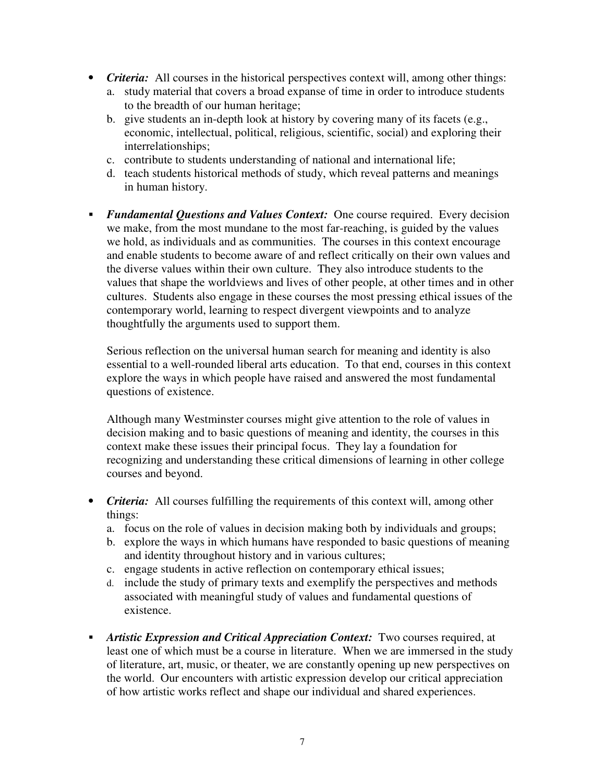- *Criteria:* All courses in the historical perspectives context will, among other things:
	- a. study material that covers a broad expanse of time in order to introduce students to the breadth of our human heritage;
	- b. give students an in-depth look at history by covering many of its facets (e.g., economic, intellectual, political, religious, scientific, social) and exploring their interrelationships;
	- c. contribute to students understanding of national and international life;
	- d. teach students historical methods of study, which reveal patterns and meanings in human history.
- *Fundamental Questions and Values Context:* One course required. Every decision we make, from the most mundane to the most far-reaching, is guided by the values we hold, as individuals and as communities. The courses in this context encourage and enable students to become aware of and reflect critically on their own values and the diverse values within their own culture. They also introduce students to the values that shape the worldviews and lives of other people, at other times and in other cultures. Students also engage in these courses the most pressing ethical issues of the contemporary world, learning to respect divergent viewpoints and to analyze thoughtfully the arguments used to support them.

Serious reflection on the universal human search for meaning and identity is also essential to a well-rounded liberal arts education. To that end, courses in this context explore the ways in which people have raised and answered the most fundamental questions of existence.

Although many Westminster courses might give attention to the role of values in decision making and to basic questions of meaning and identity, the courses in this context make these issues their principal focus. They lay a foundation for recognizing and understanding these critical dimensions of learning in other college courses and beyond.

- *Criteria:* All courses fulfilling the requirements of this context will, among other things:
	- a. focus on the role of values in decision making both by individuals and groups;
	- b. explore the ways in which humans have responded to basic questions of meaning and identity throughout history and in various cultures;
	- c. engage students in active reflection on contemporary ethical issues;
	- d. include the study of primary texts and exemplify the perspectives and methods associated with meaningful study of values and fundamental questions of existence.
- **•** Artistic Expression and Critical Appreciation Context: Two courses required, at least one of which must be a course in literature. When we are immersed in the study of literature, art, music, or theater, we are constantly opening up new perspectives on the world. Our encounters with artistic expression develop our critical appreciation of how artistic works reflect and shape our individual and shared experiences.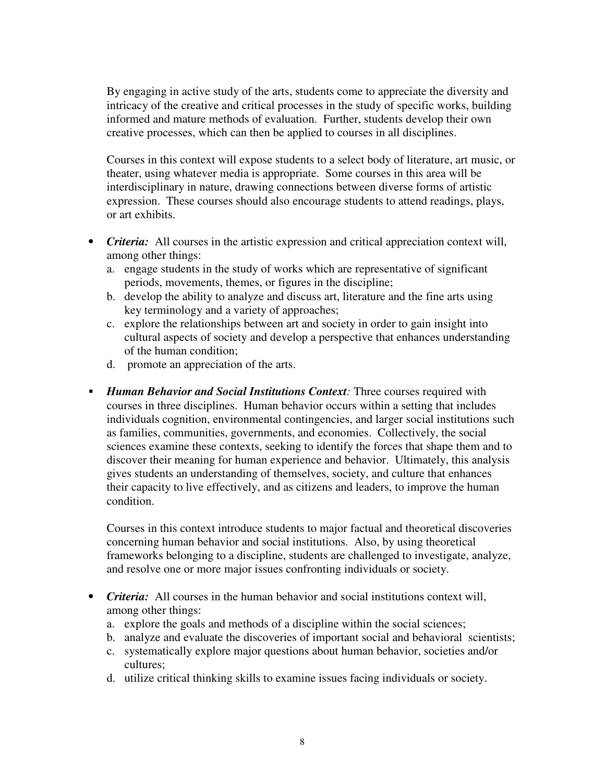By engaging in active study of the arts, students come to appreciate the diversity and intricacy of the creative and critical processes in the study of specific works, building informed and mature methods of evaluation. Further, students develop their own creative processes, which can then be applied to courses in all disciplines.

Courses in this context will expose students to a select body of literature, art music, or theater, using whatever media is appropriate. Some courses in this area will be interdisciplinary in nature, drawing connections between diverse forms of artistic expression. These courses should also encourage students to attend readings, plays, or art exhibits.

- *Criteria:* All courses in the artistic expression and critical appreciation context will, among other things:
	- a. engage students in the study of works which are representative of significant periods, movements, themes, or figures in the discipline;
	- b. develop the ability to analyze and discuss art, literature and the fine arts using key terminology and a variety of approaches;
	- c. explore the relationships between art and society in order to gain insight into cultural aspects of society and develop a perspective that enhances understanding of the human condition;
	- d. promote an appreciation of the arts.
- ▪ *Human Behavior and Social Institutions Context:* Three courses required with courses in three disciplines. Human behavior occurs within a setting that includes individuals cognition, environmental contingencies, and larger social institutions such as families, communities, governments, and economies. Collectively, the social sciences examine these contexts, seeking to identify the forces that shape them and to discover their meaning for human experience and behavior. Ultimately, this analysis gives students an understanding of themselves, society, and culture that enhances their capacity to live effectively, and as citizens and leaders, to improve the human condition.

Courses in this context introduce students to major factual and theoretical discoveries concerning human behavior and social institutions. Also, by using theoretical frameworks belonging to a discipline, students are challenged to investigate, analyze, and resolve one or more major issues confronting individuals or society.

- *Criteria:* All courses in the human behavior and social institutions context will, among other things:
	- a. explore the goals and methods of a discipline within the social sciences;
	- b. analyze and evaluate the discoveries of important social and behavioral scientists;
	- c. systematically explore major questions about human behavior, societies and/or cultures;
	- d. utilize critical thinking skills to examine issues facing individuals or society.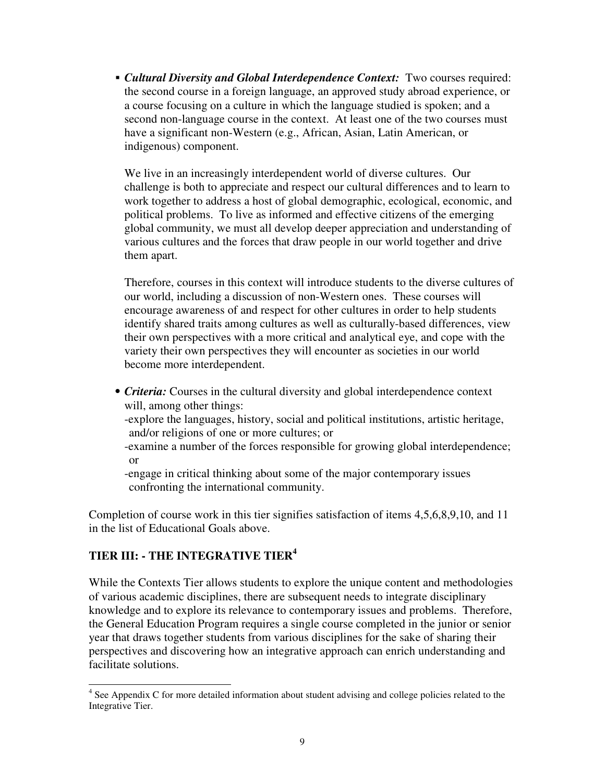**• Cultural Diversity and Global Interdependence Context:** Two courses required: the second course in a foreign language, an approved study abroad experience, or a course focusing on a culture in which the language studied is spoken; and a second non-language course in the context. At least one of the two courses must have a significant non-Western (e.g., African, Asian, Latin American, or indigenous) component.

We live in an increasingly interdependent world of diverse cultures. Our challenge is both to appreciate and respect our cultural differences and to learn to work together to address a host of global demographic, ecological, economic, and political problems. To live as informed and effective citizens of the emerging global community, we must all develop deeper appreciation and understanding of various cultures and the forces that draw people in our world together and drive them apart.

Therefore, courses in this context will introduce students to the diverse cultures of our world, including a discussion of non-Western ones. These courses will encourage awareness of and respect for other cultures in order to help students identify shared traits among cultures as well as culturally-based differences, view their own perspectives with a more critical and analytical eye, and cope with the variety their own perspectives they will encounter as societies in our world become more interdependent.

 *• Criteria:* Courses in the cultural diversity and global interdependence context will, among other things: -explore the languages, history, social and political institutions, artistic heritage, and/or religions of one or more cultures; or -examine a number of the forces responsible for growing global interdependence; or -engage in critical thinking about some of the major contemporary issues confronting the international community.

Completion of course work in this tier signifies satisfaction of items 4,5,6,8,9,10, and 11 in the list of Educational Goals above.

# **TIER III: - THE INTEGRATIVE TIER<sup>4</sup>**

While the Contexts Tier allows students to explore the unique content and methodologies of various academic disciplines, there are subsequent needs to integrate disciplinary knowledge and to explore its relevance to contemporary issues and problems. Therefore, the General Education Program requires a single course completed in the junior or senior year that draws together students from various disciplines for the sake of sharing their perspectives and discovering how an integrative approach can enrich understanding and facilitate solutions.

<sup>&</sup>lt;sup>4</sup> See Appendix C for more detailed information about student advising and college policies related to the Integrative Tier.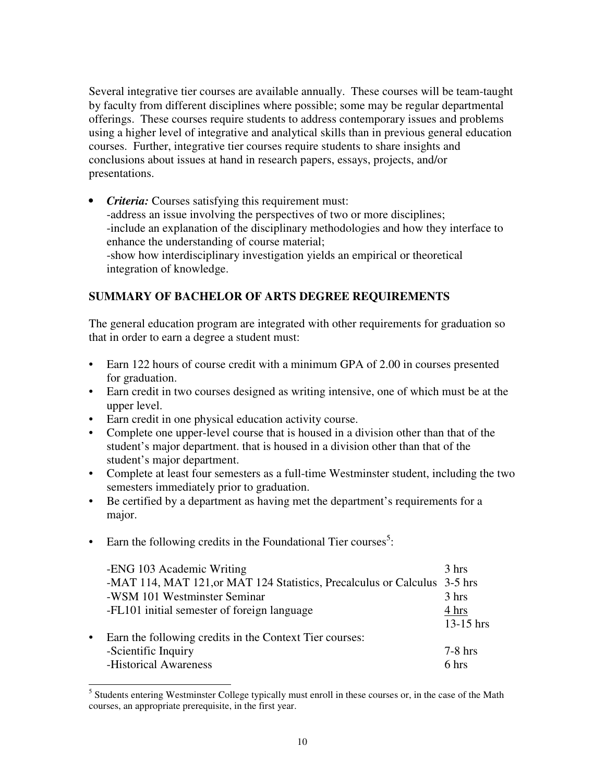Several integrative tier courses are available annually. These courses will be team-taught by faculty from different disciplines where possible; some may be regular departmental offerings. These courses require students to address contemporary issues and problems using a higher level of integrative and analytical skills than in previous general education courses. Further, integrative tier courses require students to share insights and conclusions about issues at hand in research papers, essays, projects, and/or presentations.

*• Criteria:* Courses satisfying this requirement must: -address an issue involving the perspectives of two or more disciplines; -include an explanation of the disciplinary methodologies and how they interface to enhance the understanding of course material; -show how interdisciplinary investigation yields an empirical or theoretical integration of knowledge.

## **SUMMARY OF BACHELOR OF ARTS DEGREE REQUIREMENTS**

The general education program are integrated with other requirements for graduation so that in order to earn a degree a student must:

- Earn 122 hours of course credit with a minimum GPA of 2.00 in courses presented for graduation.
- Earn credit in two courses designed as writing intensive, one of which must be at the upper level.
- Earn credit in one physical education activity course.
- Complete one upper-level course that is housed in a division other than that of the student's major department. that is housed in a division other than that of the student's major department.
- Complete at least four semesters as a full-time Westminster student, including the two semesters immediately prior to graduation.
- Be certified by a department as having met the department's requirements for a major.
- Earn the following credits in the Foundational Tier courses<sup>5</sup>:

| -ENG 103 Academic Writing                                                 | $3 \text{ hrs}$ |
|---------------------------------------------------------------------------|-----------------|
| -MAT 114, MAT 121, or MAT 124 Statistics, Precalculus or Calculus 3-5 hrs |                 |
| -WSM 101 Westminster Seminar                                              | 3 hrs           |
| -FL101 initial semester of foreign language                               | 4 hrs           |
|                                                                           | $13-15$ hrs     |
| • Earn the following credits in the Context Tier courses:                 |                 |
| -Scientific Inquiry                                                       | $7-8$ hrs       |
| -Historical Awareness                                                     | 6 hrs           |

<sup>&</sup>lt;sup>5</sup> Students entering Westminster College typically must enroll in these courses or, in the case of the Math courses, an appropriate prerequisite, in the first year.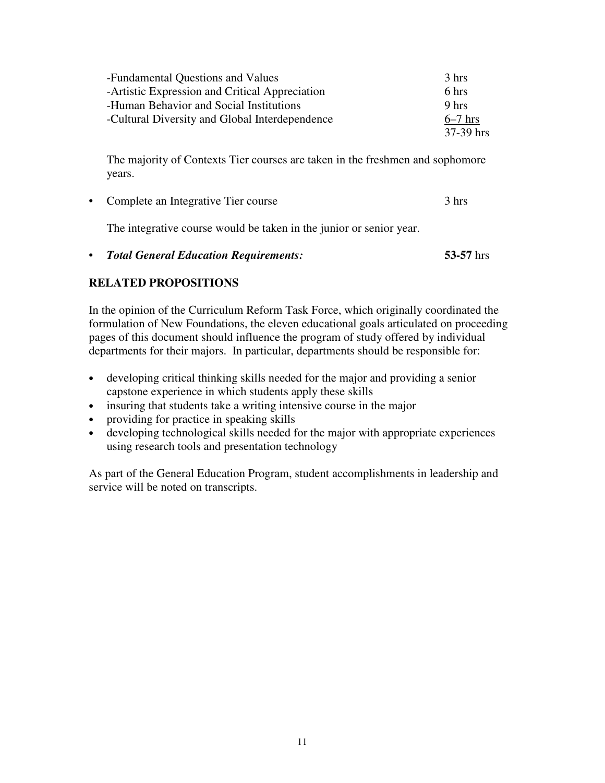| -Fundamental Questions and Values              | 3 hrs     |
|------------------------------------------------|-----------|
| -Artistic Expression and Critical Appreciation | 6 hrs     |
| -Human Behavior and Social Institutions        | 9 hrs     |
| -Cultural Diversity and Global Interdependence | $6-7$ hrs |
|                                                | 37-39 hrs |

The majority of Contexts Tier courses are taken in the freshmen and sophomore years.

• Complete an Integrative Tier course 3 hrs

The integrative course would be taken in the junior or senior year.

• *Total General Education Requirements:* **53-57** hrs

## **RELATED PROPOSITIONS**

In the opinion of the Curriculum Reform Task Force, which originally coordinated the formulation of New Foundations, the eleven educational goals articulated on proceeding pages of this document should influence the program of study offered by individual departments for their majors. In particular, departments should be responsible for:

- developing critical thinking skills needed for the major and providing a senior capstone experience in which students apply these skills
- insuring that students take a writing intensive course in the major
- providing for practice in speaking skills
- developing technological skills needed for the major with appropriate experiences using research tools and presentation technology

As part of the General Education Program, student accomplishments in leadership and service will be noted on transcripts.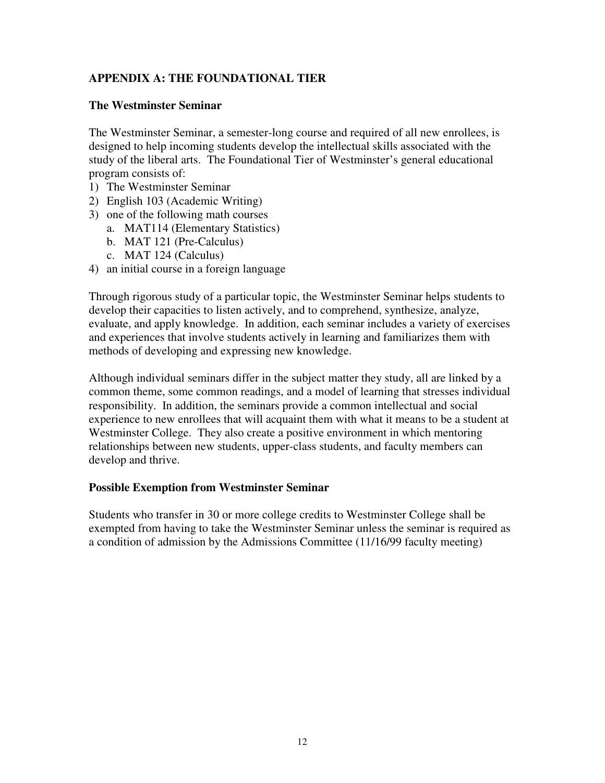## **APPENDIX A: THE FOUNDATIONAL TIER**

#### **The Westminster Seminar**

The Westminster Seminar, a semester-long course and required of all new enrollees, is designed to help incoming students develop the intellectual skills associated with the study of the liberal arts. The Foundational Tier of Westminster's general educational program consists of:

- 1) The Westminster Seminar
- 2) English 103 (Academic Writing)
- 3) one of the following math courses
	- a. MAT114 (Elementary Statistics)
	- b. MAT 121 (Pre-Calculus)
	- c. MAT 124 (Calculus)
- 4) an initial course in a foreign language

Through rigorous study of a particular topic, the Westminster Seminar helps students to develop their capacities to listen actively, and to comprehend, synthesize, analyze, evaluate, and apply knowledge. In addition, each seminar includes a variety of exercises and experiences that involve students actively in learning and familiarizes them with methods of developing and expressing new knowledge.

Although individual seminars differ in the subject matter they study, all are linked by a common theme, some common readings, and a model of learning that stresses individual responsibility. In addition, the seminars provide a common intellectual and social experience to new enrollees that will acquaint them with what it means to be a student at Westminster College. They also create a positive environment in which mentoring relationships between new students, upper-class students, and faculty members can develop and thrive.

#### **Possible Exemption from Westminster Seminar**

Students who transfer in 30 or more college credits to Westminster College shall be exempted from having to take the Westminster Seminar unless the seminar is required as a condition of admission by the Admissions Committee (11/16/99 faculty meeting)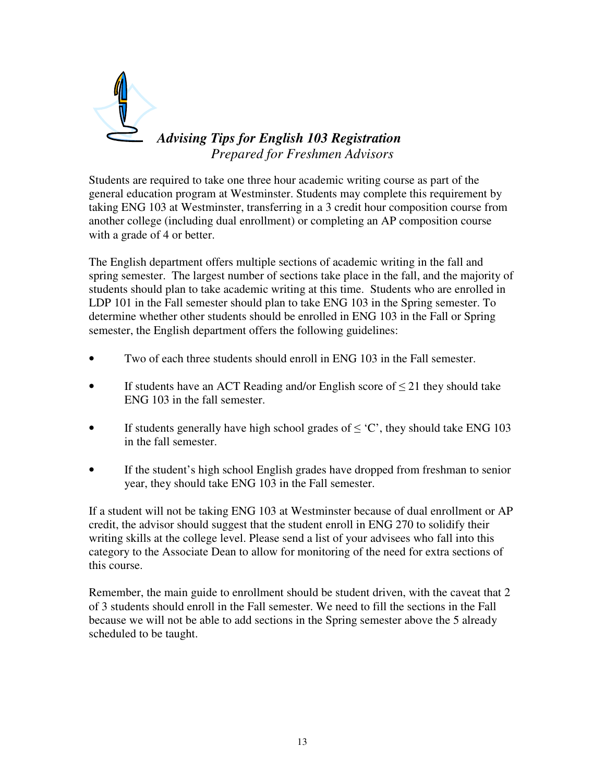

Students are required to take one three hour academic writing course as part of the general education program at Westminster. Students may complete this requirement by taking ENG 103 at Westminster, transferring in a 3 credit hour composition course from another college (including dual enrollment) or completing an AP composition course with a grade of 4 or better.

The English department offers multiple sections of academic writing in the fall and spring semester. The largest number of sections take place in the fall, and the majority of students should plan to take academic writing at this time. Students who are enrolled in LDP 101 in the Fall semester should plan to take ENG 103 in the Spring semester. To determine whether other students should be enrolled in ENG 103 in the Fall or Spring semester, the English department offers the following guidelines:

- Two of each three students should enroll in ENG 103 in the Fall semester.
- If students have an ACT Reading and/or English score of  $\leq$  21 they should take ENG 103 in the fall semester.
- If students generally have high school grades of  $\leq$  °C', they should take ENG 103 in the fall semester.
- If the student's high school English grades have dropped from freshman to senior year, they should take ENG 103 in the Fall semester.

If a student will not be taking ENG 103 at Westminster because of dual enrollment or AP credit, the advisor should suggest that the student enroll in ENG 270 to solidify their writing skills at the college level. Please send a list of your advisees who fall into this category to the Associate Dean to allow for monitoring of the need for extra sections of this course.

Remember, the main guide to enrollment should be student driven, with the caveat that 2 of 3 students should enroll in the Fall semester. We need to fill the sections in the Fall because we will not be able to add sections in the Spring semester above the 5 already scheduled to be taught.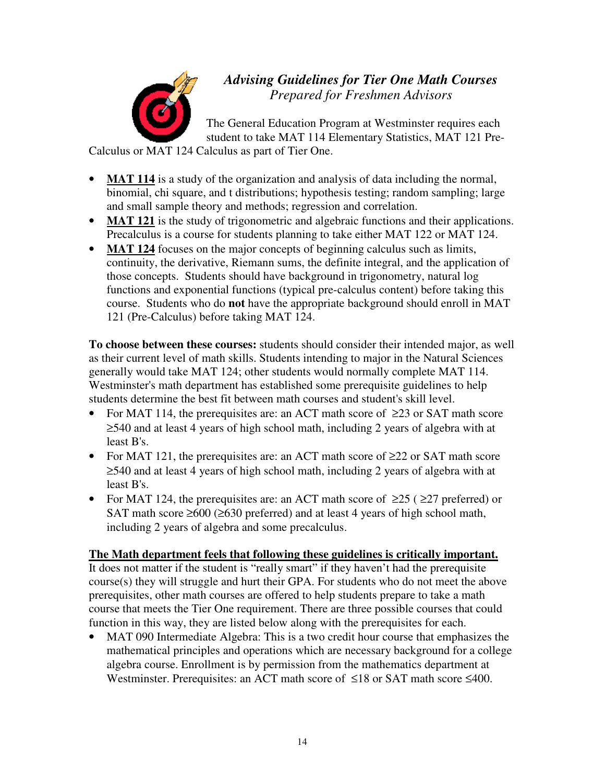

*Advising Guidelines for Tier One Math Courses Prepared for Freshmen Advisors*

The General Education Program at Westminster requires each student to take MAT 114 Elementary Statistics, MAT 121 Pre-

Calculus or MAT 124 Calculus as part of Tier One.

- **MAT 114** is a study of the organization and analysis of data including the normal, binomial, chi square, and t distributions; hypothesis testing; random sampling; large and small sample theory and methods; regression and correlation.
- **MAT 121** is the study of trigonometric and algebraic functions and their applications. Precalculus is a course for students planning to take either MAT 122 or MAT 124.
- **MAT 124** focuses on the major concepts of beginning calculus such as limits, continuity, the derivative, Riemann sums, the definite integral, and the application of those concepts. Students should have background in trigonometry, natural log functions and exponential functions (typical pre-calculus content) before taking this course. Students who do **not** have the appropriate background should enroll in MAT 121 (Pre-Calculus) before taking MAT 124.

**To choose between these courses:** students should consider their intended major, as well as their current level of math skills. Students intending to major in the Natural Sciences generally would take MAT 124; other students would normally complete MAT 114. Westminster's math department has established some prerequisite guidelines to help students determine the best fit between math courses and student's skill level.

- For MAT 114, the prerequisites are: an ACT math score of  $\geq 23$  or SAT math score ≥540 and at least 4 years of high school math, including 2 years of algebra with at least B's.
- For MAT 121, the prerequisites are: an ACT math score of  $\geq 22$  or SAT math score ≥540 and at least 4 years of high school math, including 2 years of algebra with at least B's.
- For MAT 124, the prerequisites are: an ACT math score of  $\geq 25$  ( $\geq 27$  preferred) or SAT math score ≥600 (≥630 preferred) and at least 4 years of high school math, including 2 years of algebra and some precalculus.

# **The Math department feels that following these guidelines is critically important.**

It does not matter if the student is "really smart" if they haven't had the prerequisite course(s) they will struggle and hurt their GPA. For students who do not meet the above prerequisites, other math courses are offered to help students prepare to take a math course that meets the Tier One requirement. There are three possible courses that could function in this way, they are listed below along with the prerequisites for each.

MAT 090 Intermediate Algebra: This is a two credit hour course that emphasizes the mathematical principles and operations which are necessary background for a college algebra course. Enrollment is by permission from the mathematics department at Westminster. Prerequisites: an ACT math score of ≤18 or SAT math score ≤400.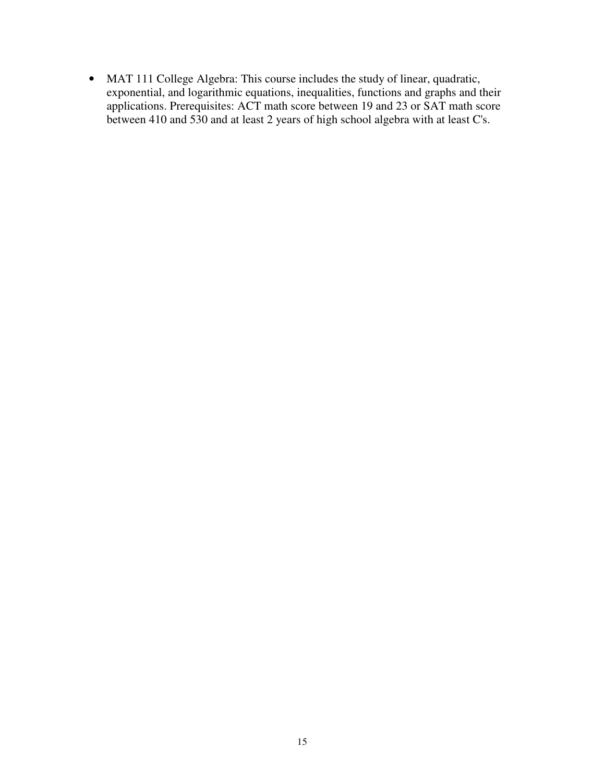• MAT 111 College Algebra: This course includes the study of linear, quadratic, exponential, and logarithmic equations, inequalities, functions and graphs and their applications. Prerequisites: ACT math score between 19 and 23 or SAT math score between 410 and 530 and at least 2 years of high school algebra with at least C's.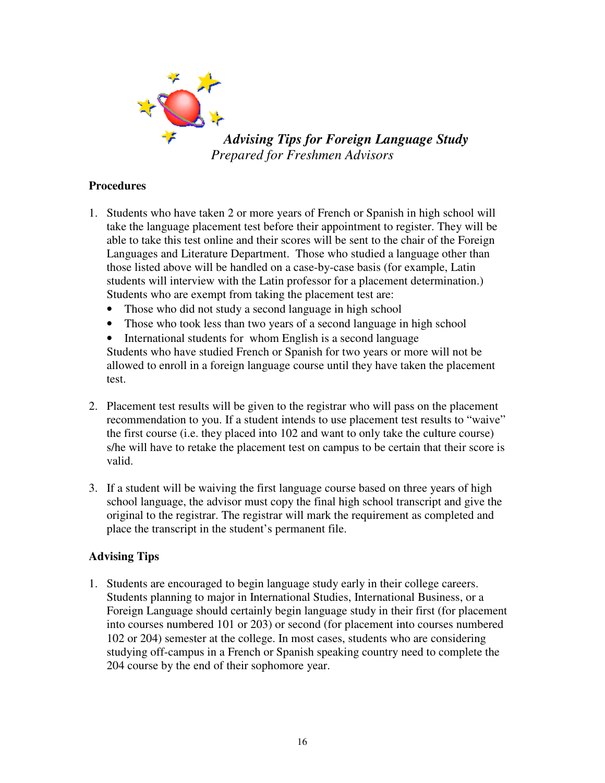

*Advising Tips for Foreign Language Study Prepared for Freshmen Advisors*

## **Procedures**

- 1. Students who have taken 2 or more years of French or Spanish in high school will take the language placement test before their appointment to register. They will be able to take this test online and their scores will be sent to the chair of the Foreign Languages and Literature Department. Those who studied a language other than those listed above will be handled on a case-by-case basis (for example, Latin students will interview with the Latin professor for a placement determination.) Students who are exempt from taking the placement test are:
	- Those who did not study a second language in high school
	- Those who took less than two years of a second language in high school
	- International students for whom English is a second language

 Students who have studied French or Spanish for two years or more will not be allowed to enroll in a foreign language course until they have taken the placement test.

- 2. Placement test results will be given to the registrar who will pass on the placement recommendation to you. If a student intends to use placement test results to "waive" the first course (i.e. they placed into 102 and want to only take the culture course) s/he will have to retake the placement test on campus to be certain that their score is valid.
- 3. If a student will be waiving the first language course based on three years of high school language, the advisor must copy the final high school transcript and give the original to the registrar. The registrar will mark the requirement as completed and place the transcript in the student's permanent file.

## **Advising Tips**

1. Students are encouraged to begin language study early in their college careers. Students planning to major in International Studies, International Business, or a Foreign Language should certainly begin language study in their first (for placement into courses numbered 101 or 203) or second (for placement into courses numbered 102 or 204) semester at the college. In most cases, students who are considering studying off-campus in a French or Spanish speaking country need to complete the 204 course by the end of their sophomore year.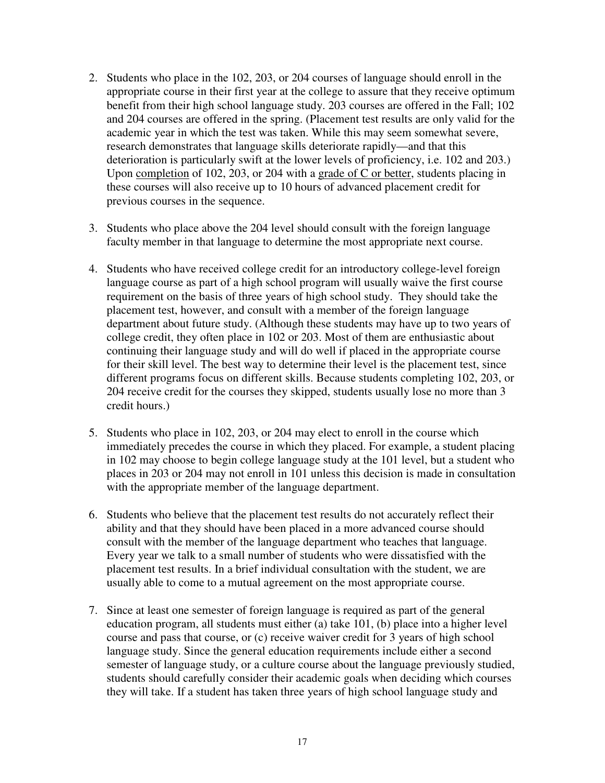- 2. Students who place in the 102, 203, or 204 courses of language should enroll in the appropriate course in their first year at the college to assure that they receive optimum benefit from their high school language study. 203 courses are offered in the Fall; 102 and 204 courses are offered in the spring. (Placement test results are only valid for the academic year in which the test was taken. While this may seem somewhat severe, research demonstrates that language skills deteriorate rapidly—and that this deterioration is particularly swift at the lower levels of proficiency, i.e. 102 and 203.) Upon completion of 102, 203, or 204 with a grade of C or better, students placing in these courses will also receive up to 10 hours of advanced placement credit for previous courses in the sequence.
- 3. Students who place above the 204 level should consult with the foreign language faculty member in that language to determine the most appropriate next course.
- 4. Students who have received college credit for an introductory college-level foreign language course as part of a high school program will usually waive the first course requirement on the basis of three years of high school study. They should take the placement test, however, and consult with a member of the foreign language department about future study. (Although these students may have up to two years of college credit, they often place in 102 or 203. Most of them are enthusiastic about continuing their language study and will do well if placed in the appropriate course for their skill level. The best way to determine their level is the placement test, since different programs focus on different skills. Because students completing 102, 203, or 204 receive credit for the courses they skipped, students usually lose no more than 3 credit hours.)
- 5. Students who place in 102, 203, or 204 may elect to enroll in the course which immediately precedes the course in which they placed. For example, a student placing in 102 may choose to begin college language study at the 101 level, but a student who places in 203 or 204 may not enroll in 101 unless this decision is made in consultation with the appropriate member of the language department.
- 6. Students who believe that the placement test results do not accurately reflect their ability and that they should have been placed in a more advanced course should consult with the member of the language department who teaches that language. Every year we talk to a small number of students who were dissatisfied with the placement test results. In a brief individual consultation with the student, we are usually able to come to a mutual agreement on the most appropriate course.
- 7. Since at least one semester of foreign language is required as part of the general education program, all students must either (a) take 101, (b) place into a higher level course and pass that course, or (c) receive waiver credit for 3 years of high school language study. Since the general education requirements include either a second semester of language study, or a culture course about the language previously studied, students should carefully consider their academic goals when deciding which courses they will take. If a student has taken three years of high school language study and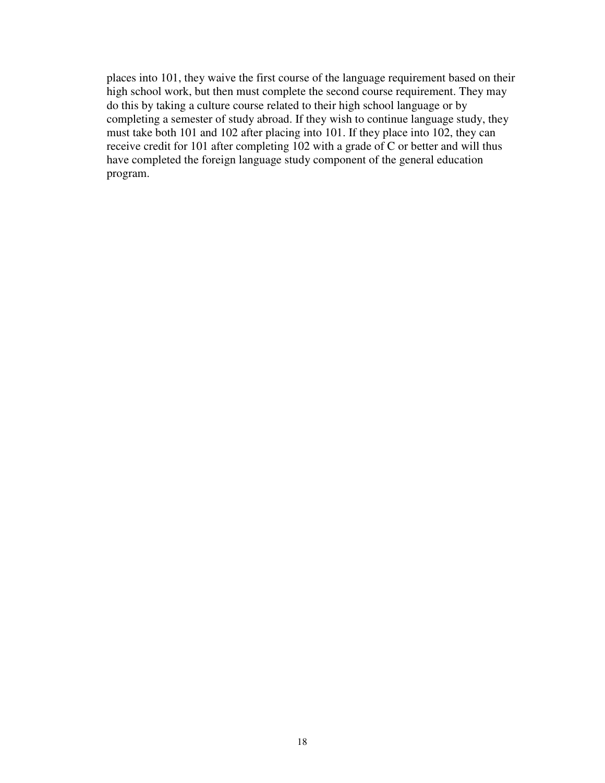places into 101, they waive the first course of the language requirement based on their high school work, but then must complete the second course requirement. They may do this by taking a culture course related to their high school language or by completing a semester of study abroad. If they wish to continue language study, they must take both 101 and 102 after placing into 101. If they place into 102, they can receive credit for 101 after completing 102 with a grade of C or better and will thus have completed the foreign language study component of the general education program.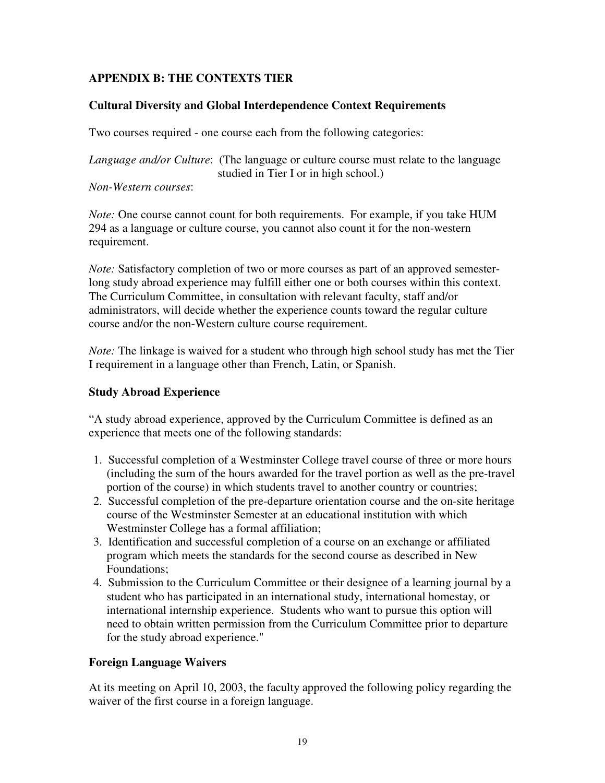# **APPENDIX B: THE CONTEXTS TIER**

## **Cultural Diversity and Global Interdependence Context Requirements**

Two courses required - one course each from the following categories:

*Language and/or Culture*: (The language or culture course must relate to the language studied in Tier I or in high school.)

*Non-Western courses*:

*Note:* One course cannot count for both requirements. For example, if you take HUM 294 as a language or culture course, you cannot also count it for the non-western requirement.

*Note:* Satisfactory completion of two or more courses as part of an approved semesterlong study abroad experience may fulfill either one or both courses within this context. The Curriculum Committee, in consultation with relevant faculty, staff and/or administrators, will decide whether the experience counts toward the regular culture course and/or the non-Western culture course requirement.

*Note:* The linkage is waived for a student who through high school study has met the Tier I requirement in a language other than French, Latin, or Spanish.

#### **Study Abroad Experience**

"A study abroad experience, approved by the Curriculum Committee is defined as an experience that meets one of the following standards:

- 1. Successful completion of a Westminster College travel course of three or more hours (including the sum of the hours awarded for the travel portion as well as the pre-travel portion of the course) in which students travel to another country or countries;
- 2. Successful completion of the pre-departure orientation course and the on-site heritage course of the Westminster Semester at an educational institution with which Westminster College has a formal affiliation;
- 3. Identification and successful completion of a course on an exchange or affiliated program which meets the standards for the second course as described in New Foundations;
- 4. Submission to the Curriculum Committee or their designee of a learning journal by a student who has participated in an international study, international homestay, or international internship experience. Students who want to pursue this option will need to obtain written permission from the Curriculum Committee prior to departure for the study abroad experience."

## **Foreign Language Waivers**

At its meeting on April 10, 2003, the faculty approved the following policy regarding the waiver of the first course in a foreign language.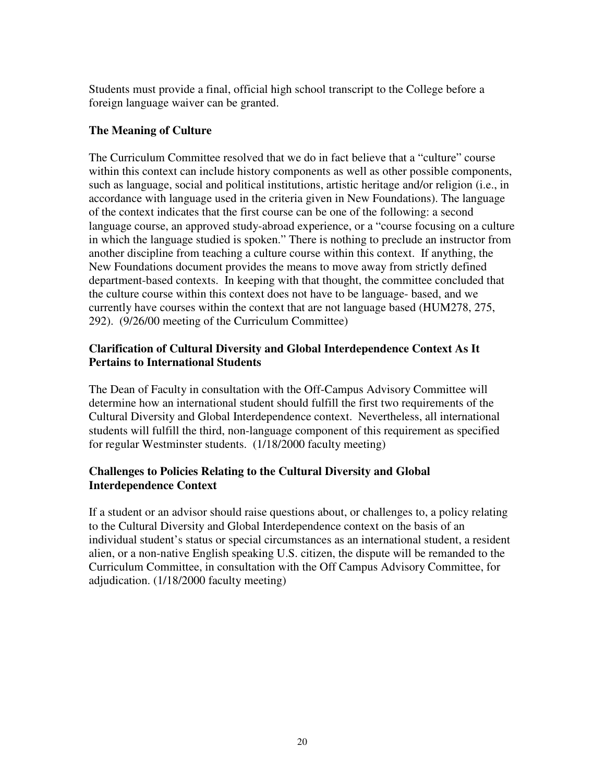Students must provide a final, official high school transcript to the College before a foreign language waiver can be granted.

## **The Meaning of Culture**

The Curriculum Committee resolved that we do in fact believe that a "culture" course within this context can include history components as well as other possible components, such as language, social and political institutions, artistic heritage and/or religion (i.e., in accordance with language used in the criteria given in New Foundations). The language of the context indicates that the first course can be one of the following: a second language course, an approved study-abroad experience, or a "course focusing on a culture in which the language studied is spoken." There is nothing to preclude an instructor from another discipline from teaching a culture course within this context. If anything, the New Foundations document provides the means to move away from strictly defined department-based contexts. In keeping with that thought, the committee concluded that the culture course within this context does not have to be language- based, and we currently have courses within the context that are not language based (HUM278, 275, 292). (9/26/00 meeting of the Curriculum Committee)

#### **Clarification of Cultural Diversity and Global Interdependence Context As It Pertains to International Students**

The Dean of Faculty in consultation with the Off-Campus Advisory Committee will determine how an international student should fulfill the first two requirements of the Cultural Diversity and Global Interdependence context. Nevertheless, all international students will fulfill the third, non-language component of this requirement as specified for regular Westminster students. (1/18/2000 faculty meeting)

## **Challenges to Policies Relating to the Cultural Diversity and Global Interdependence Context**

If a student or an advisor should raise questions about, or challenges to, a policy relating to the Cultural Diversity and Global Interdependence context on the basis of an individual student's status or special circumstances as an international student, a resident alien, or a non-native English speaking U.S. citizen, the dispute will be remanded to the Curriculum Committee, in consultation with the Off Campus Advisory Committee, for adjudication. (1/18/2000 faculty meeting)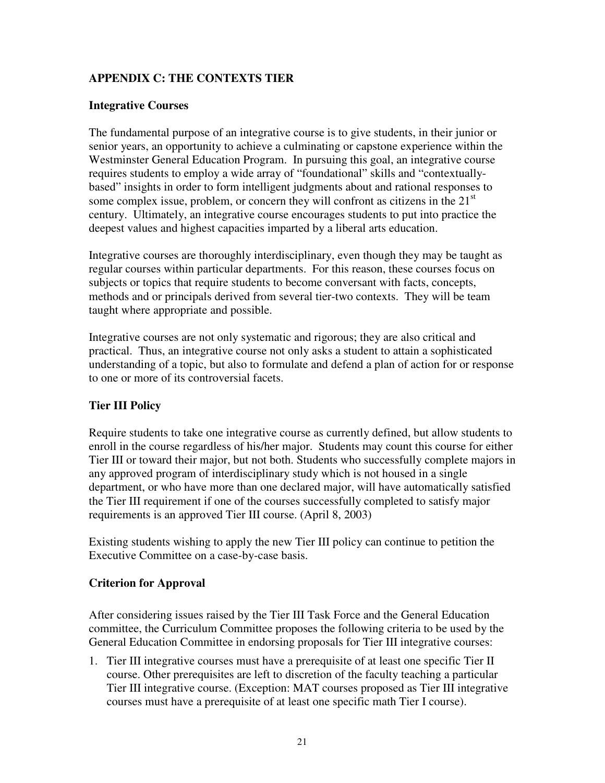# **APPENDIX C: THE CONTEXTS TIER**

#### **Integrative Courses**

The fundamental purpose of an integrative course is to give students, in their junior or senior years, an opportunity to achieve a culminating or capstone experience within the Westminster General Education Program. In pursuing this goal, an integrative course requires students to employ a wide array of "foundational" skills and "contextuallybased" insights in order to form intelligent judgments about and rational responses to some complex issue, problem, or concern they will confront as citizens in the  $21<sup>st</sup>$ century. Ultimately, an integrative course encourages students to put into practice the deepest values and highest capacities imparted by a liberal arts education.

Integrative courses are thoroughly interdisciplinary, even though they may be taught as regular courses within particular departments. For this reason, these courses focus on subjects or topics that require students to become conversant with facts, concepts, methods and or principals derived from several tier-two contexts. They will be team taught where appropriate and possible.

Integrative courses are not only systematic and rigorous; they are also critical and practical. Thus, an integrative course not only asks a student to attain a sophisticated understanding of a topic, but also to formulate and defend a plan of action for or response to one or more of its controversial facets.

## **Tier III Policy**

Require students to take one integrative course as currently defined, but allow students to enroll in the course regardless of his/her major. Students may count this course for either Tier III or toward their major, but not both. Students who successfully complete majors in any approved program of interdisciplinary study which is not housed in a single department, or who have more than one declared major, will have automatically satisfied the Tier III requirement if one of the courses successfully completed to satisfy major requirements is an approved Tier III course. (April 8, 2003)

Existing students wishing to apply the new Tier III policy can continue to petition the Executive Committee on a case-by-case basis.

#### **Criterion for Approval**

After considering issues raised by the Tier III Task Force and the General Education committee, the Curriculum Committee proposes the following criteria to be used by the General Education Committee in endorsing proposals for Tier III integrative courses:

1. Tier III integrative courses must have a prerequisite of at least one specific Tier II course. Other prerequisites are left to discretion of the faculty teaching a particular Tier III integrative course. (Exception: MAT courses proposed as Tier III integrative courses must have a prerequisite of at least one specific math Tier I course).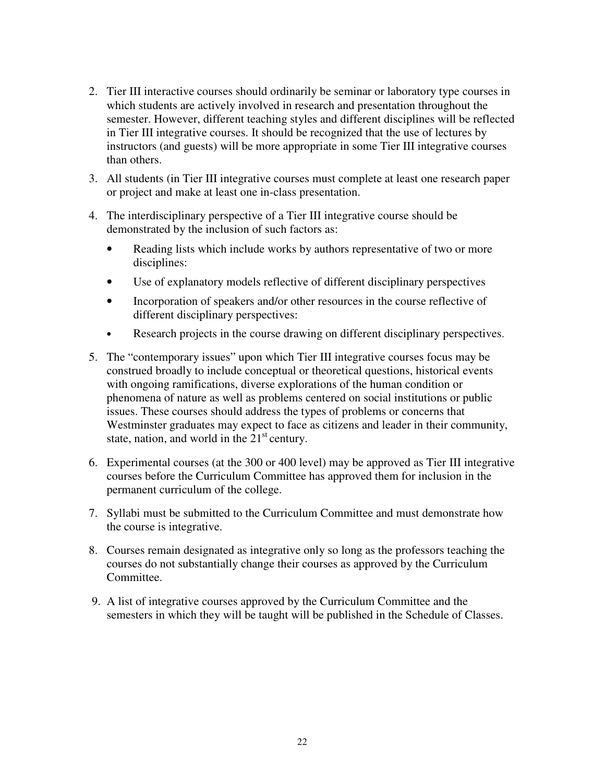- 2. Tier III interactive courses should ordinarily be seminar or laboratory type courses in which students are actively involved in research and presentation throughout the semester. However, different teaching styles and different disciplines will be reflected in Tier III integrative courses. It should be recognized that the use of lectures by instructors (and guests) will be more appropriate in some Tier III integrative courses than others.
- 3. All students (in Tier III integrative courses must complete at least one research paper or project and make at least one in-class presentation.
- 4. The interdisciplinary perspective of a Tier III integrative course should be demonstrated by the inclusion of such factors as:
	- Reading lists which include works by authors representative of two or more disciplines:
	- Use of explanatory models reflective of different disciplinary perspectives
	- Incorporation of speakers and/or other resources in the course reflective of different disciplinary perspectives:
	- Research projects in the course drawing on different disciplinary perspectives.
- 5. The "contemporary issues" upon which Tier III integrative courses focus may be construed broadly to include conceptual or theoretical questions, historical events with ongoing ramifications, diverse explorations of the human condition or phenomena of nature as well as problems centered on social institutions or public issues. These courses should address the types of problems or concerns that Westminster graduates may expect to face as citizens and leader in their community, state, nation, and world in the  $21<sup>st</sup>$  century.
- 6. Experimental courses (at the 300 or 400 level) may be approved as Tier III integrative courses before the Curriculum Committee has approved them for inclusion in the permanent curriculum of the college.
- 7. Syllabi must be submitted to the Curriculum Committee and must demonstrate how the course is integrative.
- 8. Courses remain designated as integrative only so long as the professors teaching the courses do not substantially change their courses as approved by the Curriculum Committee.
- 9. A list of integrative courses approved by the Curriculum Committee and the semesters in which they will be taught will be published in the Schedule of Classes.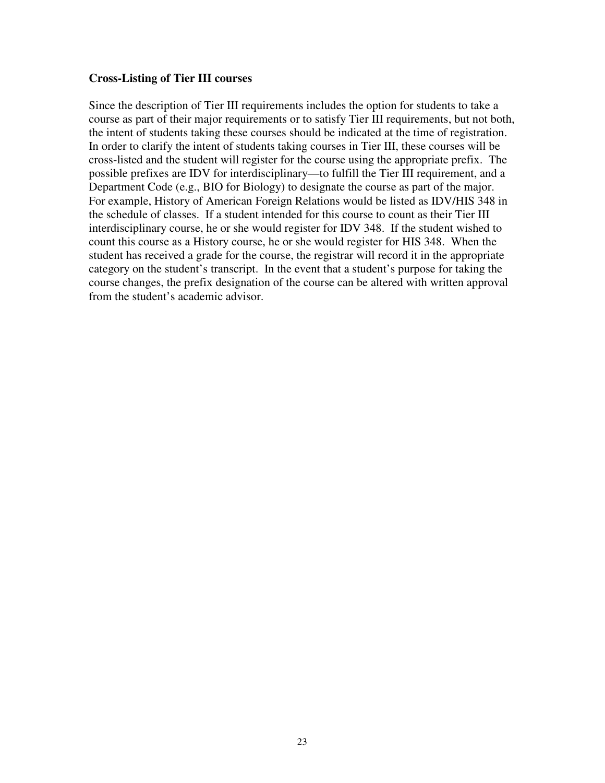#### **Cross-Listing of Tier III courses**

Since the description of Tier III requirements includes the option for students to take a course as part of their major requirements or to satisfy Tier III requirements, but not both, the intent of students taking these courses should be indicated at the time of registration. In order to clarify the intent of students taking courses in Tier III, these courses will be cross-listed and the student will register for the course using the appropriate prefix. The possible prefixes are IDV for interdisciplinary—to fulfill the Tier III requirement, and a Department Code (e.g., BIO for Biology) to designate the course as part of the major. For example, History of American Foreign Relations would be listed as IDV/HIS 348 in the schedule of classes. If a student intended for this course to count as their Tier III interdisciplinary course, he or she would register for IDV 348. If the student wished to count this course as a History course, he or she would register for HIS 348. When the student has received a grade for the course, the registrar will record it in the appropriate category on the student's transcript. In the event that a student's purpose for taking the course changes, the prefix designation of the course can be altered with written approval from the student's academic advisor.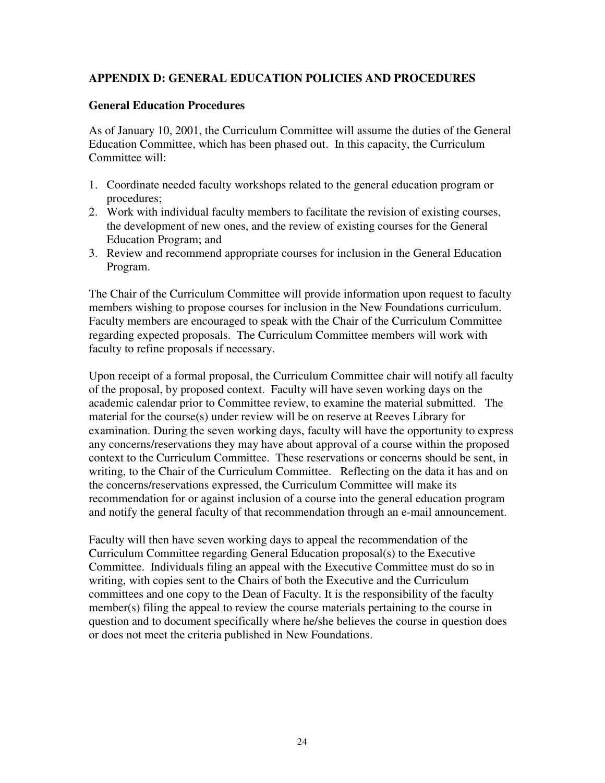## **APPENDIX D: GENERAL EDUCATION POLICIES AND PROCEDURES**

#### **General Education Procedures**

As of January 10, 2001, the Curriculum Committee will assume the duties of the General Education Committee, which has been phased out. In this capacity, the Curriculum Committee will:

- 1. Coordinate needed faculty workshops related to the general education program or procedures;
- 2. Work with individual faculty members to facilitate the revision of existing courses, the development of new ones, and the review of existing courses for the General Education Program; and
- 3. Review and recommend appropriate courses for inclusion in the General Education Program.

The Chair of the Curriculum Committee will provide information upon request to faculty members wishing to propose courses for inclusion in the New Foundations curriculum. Faculty members are encouraged to speak with the Chair of the Curriculum Committee regarding expected proposals. The Curriculum Committee members will work with faculty to refine proposals if necessary.

Upon receipt of a formal proposal, the Curriculum Committee chair will notify all faculty of the proposal, by proposed context. Faculty will have seven working days on the academic calendar prior to Committee review, to examine the material submitted. The material for the course(s) under review will be on reserve at Reeves Library for examination. During the seven working days, faculty will have the opportunity to express any concerns/reservations they may have about approval of a course within the proposed context to the Curriculum Committee. These reservations or concerns should be sent, in writing, to the Chair of the Curriculum Committee. Reflecting on the data it has and on the concerns/reservations expressed, the Curriculum Committee will make its recommendation for or against inclusion of a course into the general education program and notify the general faculty of that recommendation through an e-mail announcement.

Faculty will then have seven working days to appeal the recommendation of the Curriculum Committee regarding General Education proposal(s) to the Executive Committee. Individuals filing an appeal with the Executive Committee must do so in writing, with copies sent to the Chairs of both the Executive and the Curriculum committees and one copy to the Dean of Faculty. It is the responsibility of the faculty member(s) filing the appeal to review the course materials pertaining to the course in question and to document specifically where he/she believes the course in question does or does not meet the criteria published in New Foundations.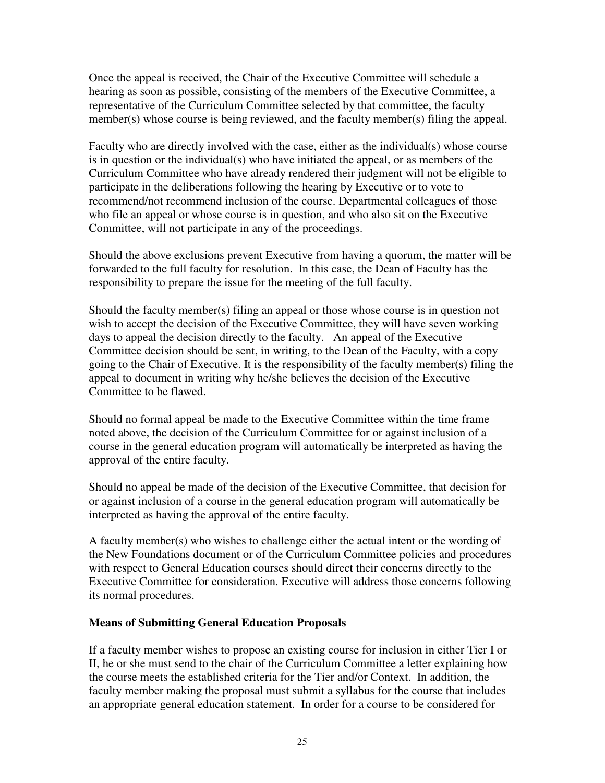Once the appeal is received, the Chair of the Executive Committee will schedule a hearing as soon as possible, consisting of the members of the Executive Committee, a representative of the Curriculum Committee selected by that committee, the faculty member(s) whose course is being reviewed, and the faculty member(s) filing the appeal.

Faculty who are directly involved with the case, either as the individual(s) whose course is in question or the individual(s) who have initiated the appeal, or as members of the Curriculum Committee who have already rendered their judgment will not be eligible to participate in the deliberations following the hearing by Executive or to vote to recommend/not recommend inclusion of the course. Departmental colleagues of those who file an appeal or whose course is in question, and who also sit on the Executive Committee, will not participate in any of the proceedings.

Should the above exclusions prevent Executive from having a quorum, the matter will be forwarded to the full faculty for resolution. In this case, the Dean of Faculty has the responsibility to prepare the issue for the meeting of the full faculty.

Should the faculty member(s) filing an appeal or those whose course is in question not wish to accept the decision of the Executive Committee, they will have seven working days to appeal the decision directly to the faculty. An appeal of the Executive Committee decision should be sent, in writing, to the Dean of the Faculty, with a copy going to the Chair of Executive. It is the responsibility of the faculty member(s) filing the appeal to document in writing why he/she believes the decision of the Executive Committee to be flawed.

Should no formal appeal be made to the Executive Committee within the time frame noted above, the decision of the Curriculum Committee for or against inclusion of a course in the general education program will automatically be interpreted as having the approval of the entire faculty.

Should no appeal be made of the decision of the Executive Committee, that decision for or against inclusion of a course in the general education program will automatically be interpreted as having the approval of the entire faculty.

A faculty member(s) who wishes to challenge either the actual intent or the wording of the New Foundations document or of the Curriculum Committee policies and procedures with respect to General Education courses should direct their concerns directly to the Executive Committee for consideration. Executive will address those concerns following its normal procedures.

## **Means of Submitting General Education Proposals**

If a faculty member wishes to propose an existing course for inclusion in either Tier I or II, he or she must send to the chair of the Curriculum Committee a letter explaining how the course meets the established criteria for the Tier and/or Context. In addition, the faculty member making the proposal must submit a syllabus for the course that includes an appropriate general education statement. In order for a course to be considered for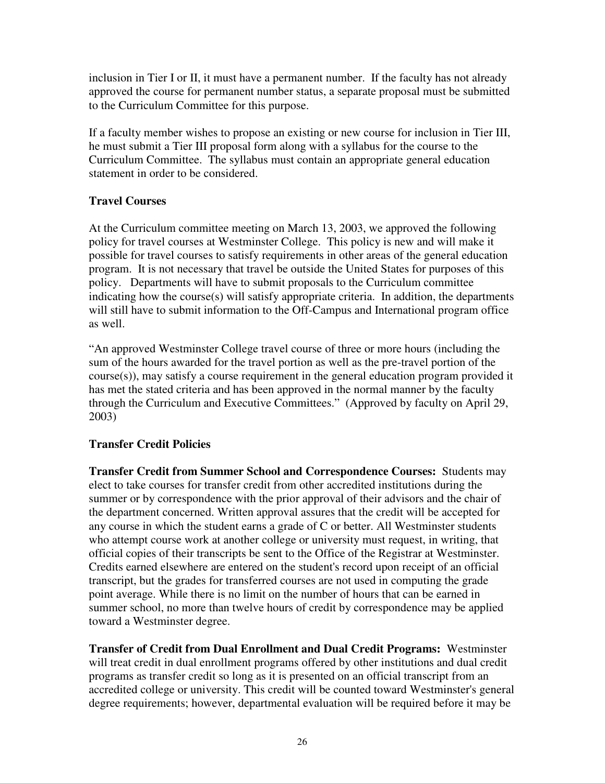inclusion in Tier I or II, it must have a permanent number. If the faculty has not already approved the course for permanent number status, a separate proposal must be submitted to the Curriculum Committee for this purpose.

If a faculty member wishes to propose an existing or new course for inclusion in Tier III, he must submit a Tier III proposal form along with a syllabus for the course to the Curriculum Committee. The syllabus must contain an appropriate general education statement in order to be considered.

## **Travel Courses**

At the Curriculum committee meeting on March 13, 2003, we approved the following policy for travel courses at Westminster College. This policy is new and will make it possible for travel courses to satisfy requirements in other areas of the general education program. It is not necessary that travel be outside the United States for purposes of this policy. Departments will have to submit proposals to the Curriculum committee indicating how the course(s) will satisfy appropriate criteria. In addition, the departments will still have to submit information to the Off-Campus and International program office as well.

"An approved Westminster College travel course of three or more hours (including the sum of the hours awarded for the travel portion as well as the pre-travel portion of the course(s)), may satisfy a course requirement in the general education program provided it has met the stated criteria and has been approved in the normal manner by the faculty through the Curriculum and Executive Committees." (Approved by faculty on April 29, 2003)

# **Transfer Credit Policies**

**Transfer Credit from Summer School and Correspondence Courses:** Students may elect to take courses for transfer credit from other accredited institutions during the summer or by correspondence with the prior approval of their advisors and the chair of the department concerned. Written approval assures that the credit will be accepted for any course in which the student earns a grade of C or better. All Westminster students who attempt course work at another college or university must request, in writing, that official copies of their transcripts be sent to the Office of the Registrar at Westminster. Credits earned elsewhere are entered on the student's record upon receipt of an official transcript, but the grades for transferred courses are not used in computing the grade point average. While there is no limit on the number of hours that can be earned in summer school, no more than twelve hours of credit by correspondence may be applied toward a Westminster degree.

**Transfer of Credit from Dual Enrollment and Dual Credit Programs:** Westminster will treat credit in dual enrollment programs offered by other institutions and dual credit programs as transfer credit so long as it is presented on an official transcript from an accredited college or university. This credit will be counted toward Westminster's general degree requirements; however, departmental evaluation will be required before it may be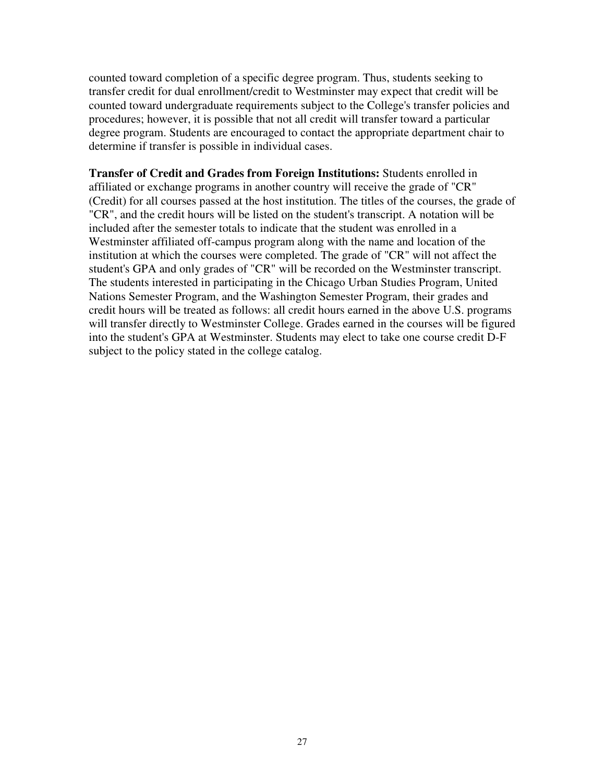counted toward completion of a specific degree program. Thus, students seeking to transfer credit for dual enrollment/credit to Westminster may expect that credit will be counted toward undergraduate requirements subject to the College's transfer policies and procedures; however, it is possible that not all credit will transfer toward a particular degree program. Students are encouraged to contact the appropriate department chair to determine if transfer is possible in individual cases.

**Transfer of Credit and Grades from Foreign Institutions:** Students enrolled in affiliated or exchange programs in another country will receive the grade of "CR" (Credit) for all courses passed at the host institution. The titles of the courses, the grade of "CR", and the credit hours will be listed on the student's transcript. A notation will be included after the semester totals to indicate that the student was enrolled in a Westminster affiliated off-campus program along with the name and location of the institution at which the courses were completed. The grade of "CR" will not affect the student's GPA and only grades of "CR" will be recorded on the Westminster transcript. The students interested in participating in the Chicago Urban Studies Program, United Nations Semester Program, and the Washington Semester Program, their grades and credit hours will be treated as follows: all credit hours earned in the above U.S. programs will transfer directly to Westminster College. Grades earned in the courses will be figured into the student's GPA at Westminster. Students may elect to take one course credit D-F subject to the policy stated in the college catalog.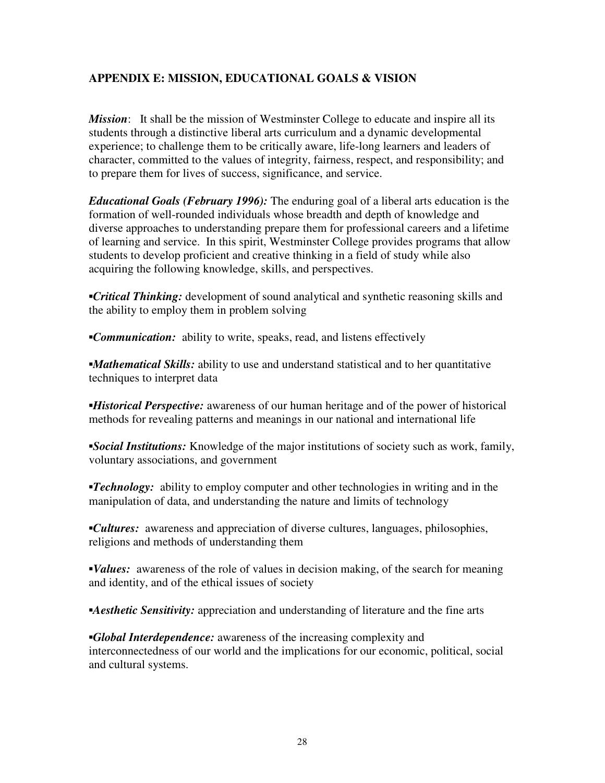## **APPENDIX E: MISSION, EDUCATIONAL GOALS & VISION**

*Mission*: It shall be the mission of Westminster College to educate and inspire all its students through a distinctive liberal arts curriculum and a dynamic developmental experience; to challenge them to be critically aware, life-long learners and leaders of character, committed to the values of integrity, fairness, respect, and responsibility; and to prepare them for lives of success, significance, and service.

*Educational Goals (February 1996):* The enduring goal of a liberal arts education is the formation of well-rounded individuals whose breadth and depth of knowledge and diverse approaches to understanding prepare them for professional careers and a lifetime of learning and service. In this spirit, Westminster College provides programs that allow students to develop proficient and creative thinking in a field of study while also acquiring the following knowledge, skills, and perspectives.

**•***Critical Thinking:* development of sound analytical and synthetic reasoning skills and the ability to employ them in problem solving

**•Communication:** ability to write, speaks, read, and listens effectively

*•Mathematical Skills:* ability to use and understand statistical and to her quantitative techniques to interpret data

▪*Historical Perspective:* awareness of our human heritage and of the power of historical methods for revealing patterns and meanings in our national and international life

▪*Social Institutions:* Knowledge of the major institutions of society such as work, family, voluntary associations, and government

*Technology:* ability to employ computer and other technologies in writing and in the manipulation of data, and understanding the nature and limits of technology

▪*Cultures:* awareness and appreciation of diverse cultures, languages, philosophies, religions and methods of understanding them

*Values:* awareness of the role of values in decision making, of the search for meaning and identity, and of the ethical issues of society

*Aesthetic Sensitivity:* appreciation and understanding of literature and the fine arts

*Global Interdependence:* awareness of the increasing complexity and interconnectedness of our world and the implications for our economic, political, social and cultural systems.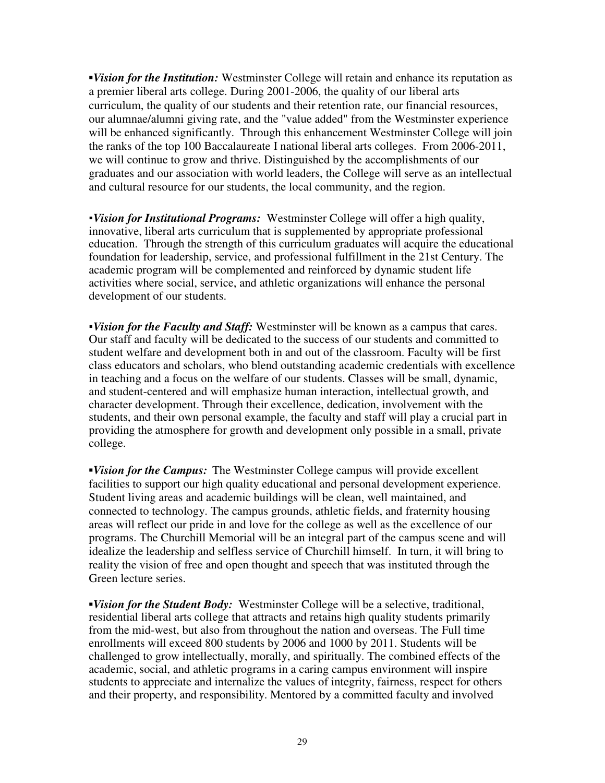▪*Vision for the Institution:* Westminster College will retain and enhance its reputation as a premier liberal arts college. During 2001-2006, the quality of our liberal arts curriculum, the quality of our students and their retention rate, our financial resources, our alumnae/alumni giving rate, and the "value added" from the Westminster experience will be enhanced significantly. Through this enhancement Westminster College will join the ranks of the top 100 Baccalaureate I national liberal arts colleges. From 2006-2011, we will continue to grow and thrive. Distinguished by the accomplishments of our graduates and our association with world leaders, the College will serve as an intellectual and cultural resource for our students, the local community, and the region.

•*Vision for Institutional Programs:* Westminster College will offer a high quality, innovative, liberal arts curriculum that is supplemented by appropriate professional education. Through the strength of this curriculum graduates will acquire the educational foundation for leadership, service, and professional fulfillment in the 21st Century. The academic program will be complemented and reinforced by dynamic student life activities where social, service, and athletic organizations will enhance the personal development of our students.

▪*Vision for the Faculty and Staff:* Westminster will be known as a campus that cares. Our staff and faculty will be dedicated to the success of our students and committed to student welfare and development both in and out of the classroom. Faculty will be first class educators and scholars, who blend outstanding academic credentials with excellence in teaching and a focus on the welfare of our students. Classes will be small, dynamic, and student-centered and will emphasize human interaction, intellectual growth, and character development. Through their excellence, dedication, involvement with the students, and their own personal example, the faculty and staff will play a crucial part in providing the atmosphere for growth and development only possible in a small, private college.

▪*Vision for the Campus:* The Westminster College campus will provide excellent facilities to support our high quality educational and personal development experience. Student living areas and academic buildings will be clean, well maintained, and connected to technology. The campus grounds, athletic fields, and fraternity housing areas will reflect our pride in and love for the college as well as the excellence of our programs. The Churchill Memorial will be an integral part of the campus scene and will idealize the leadership and selfless service of Churchill himself. In turn, it will bring to reality the vision of free and open thought and speech that was instituted through the Green lecture series.

▪*Vision for the Student Body:* Westminster College will be a selective, traditional, residential liberal arts college that attracts and retains high quality students primarily from the mid-west, but also from throughout the nation and overseas. The Full time enrollments will exceed 800 students by 2006 and 1000 by 2011. Students will be challenged to grow intellectually, morally, and spiritually. The combined effects of the academic, social, and athletic programs in a caring campus environment will inspire students to appreciate and internalize the values of integrity, fairness, respect for others and their property, and responsibility. Mentored by a committed faculty and involved